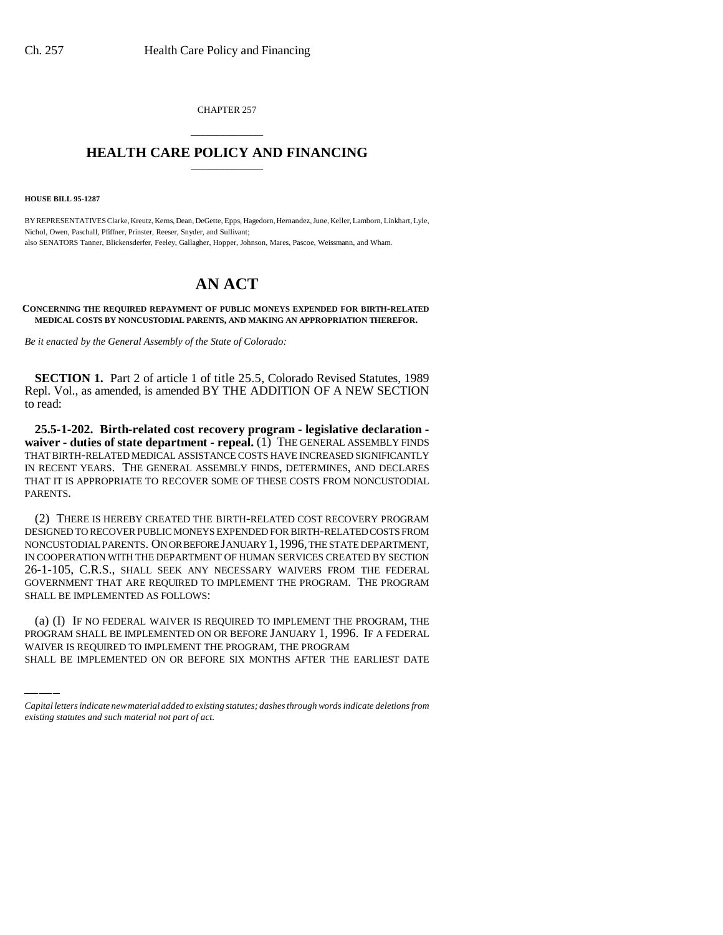CHAPTER 257

## \_\_\_\_\_\_\_\_\_\_\_\_\_\_\_ **HEALTH CARE POLICY AND FINANCING** \_\_\_\_\_\_\_\_\_\_\_\_\_\_\_

**HOUSE BILL 95-1287**

BY REPRESENTATIVES Clarke, Kreutz, Kerns, Dean, DeGette, Epps, Hagedorn, Hernandez, June, Keller, Lamborn, Linkhart, Lyle, Nichol, Owen, Paschall, Pfiffner, Prinster, Reeser, Snyder, and Sullivant; also SENATORS Tanner, Blickensderfer, Feeley, Gallagher, Hopper, Johnson, Mares, Pascoe, Weissmann, and Wham.

## **AN ACT**

**CONCERNING THE REQUIRED REPAYMENT OF PUBLIC MONEYS EXPENDED FOR BIRTH-RELATED MEDICAL COSTS BY NONCUSTODIAL PARENTS, AND MAKING AN APPROPRIATION THEREFOR.**

*Be it enacted by the General Assembly of the State of Colorado:*

**SECTION 1.** Part 2 of article 1 of title 25.5, Colorado Revised Statutes, 1989 Repl. Vol., as amended, is amended BY THE ADDITION OF A NEW SECTION to read:

**25.5-1-202. Birth-related cost recovery program - legislative declaration waiver - duties of state department - repeal.** (1) THE GENERAL ASSEMBLY FINDS THAT BIRTH-RELATED MEDICAL ASSISTANCE COSTS HAVE INCREASED SIGNIFICANTLY IN RECENT YEARS. THE GENERAL ASSEMBLY FINDS, DETERMINES, AND DECLARES THAT IT IS APPROPRIATE TO RECOVER SOME OF THESE COSTS FROM NONCUSTODIAL PARENTS.

 $\frac{1}{2}$ (2) THERE IS HEREBY CREATED THE BIRTH-RELATED COST RECOVERY PROGRAM DESIGNED TO RECOVER PUBLIC MONEYS EXPENDED FOR BIRTH-RELATED COSTS FROM NONCUSTODIAL PARENTS. ON OR BEFORE JANUARY 1,1996, THE STATE DEPARTMENT, IN COOPERATION WITH THE DEPARTMENT OF HUMAN SERVICES CREATED BY SECTION 26-1-105, C.R.S., SHALL SEEK ANY NECESSARY WAIVERS FROM THE FEDERAL GOVERNMENT THAT ARE REQUIRED TO IMPLEMENT THE PROGRAM. THE PROGRAM SHALL BE IMPLEMENTED AS FOLLOWS:

(a) (I) IF NO FEDERAL WAIVER IS REQUIRED TO IMPLEMENT THE PROGRAM, THE PROGRAM SHALL BE IMPLEMENTED ON OR BEFORE JANUARY 1, 1996. IF A FEDERAL WAIVER IS REQUIRED TO IMPLEMENT THE PROGRAM, THE PROGRAM SHALL BE IMPLEMENTED ON OR BEFORE SIX MONTHS AFTER THE EARLIEST DATE

*Capital letters indicate new material added to existing statutes; dashes through words indicate deletions from existing statutes and such material not part of act.*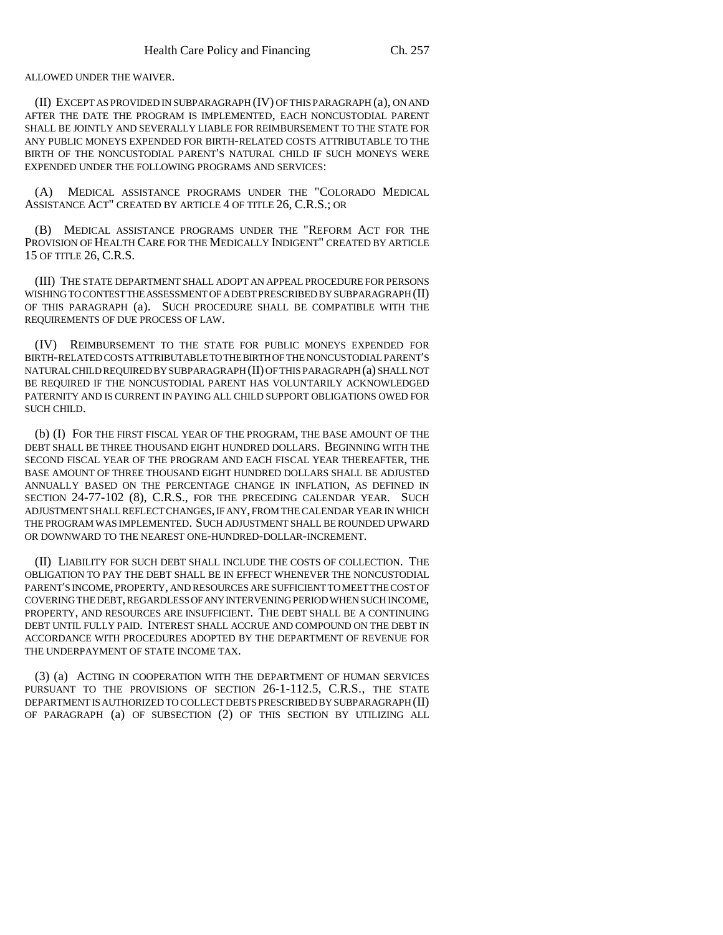ALLOWED UNDER THE WAIVER.

(II) EXCEPT AS PROVIDED IN SUBPARAGRAPH (IV) OF THIS PARAGRAPH (a), ON AND AFTER THE DATE THE PROGRAM IS IMPLEMENTED, EACH NONCUSTODIAL PARENT SHALL BE JOINTLY AND SEVERALLY LIABLE FOR REIMBURSEMENT TO THE STATE FOR ANY PUBLIC MONEYS EXPENDED FOR BIRTH-RELATED COSTS ATTRIBUTABLE TO THE BIRTH OF THE NONCUSTODIAL PARENT'S NATURAL CHILD IF SUCH MONEYS WERE EXPENDED UNDER THE FOLLOWING PROGRAMS AND SERVICES:

(A) MEDICAL ASSISTANCE PROGRAMS UNDER THE "COLORADO MEDICAL ASSISTANCE ACT" CREATED BY ARTICLE 4 OF TITLE 26, C.R.S.; OR

(B) MEDICAL ASSISTANCE PROGRAMS UNDER THE "REFORM ACT FOR THE PROVISION OF HEALTH CARE FOR THE MEDICALLY INDIGENT" CREATED BY ARTICLE 15 OF TITLE 26, C.R.S.

(III) THE STATE DEPARTMENT SHALL ADOPT AN APPEAL PROCEDURE FOR PERSONS WISHING TO CONTEST THE ASSESSMENT OF A DEBT PRESCRIBED BY SUBPARAGRAPH (II) OF THIS PARAGRAPH (a). SUCH PROCEDURE SHALL BE COMPATIBLE WITH THE REQUIREMENTS OF DUE PROCESS OF LAW.

(IV) REIMBURSEMENT TO THE STATE FOR PUBLIC MONEYS EXPENDED FOR BIRTH-RELATED COSTS ATTRIBUTABLE TO THE BIRTH OF THE NONCUSTODIAL PARENT'S NATURAL CHILD REQUIRED BY SUBPARAGRAPH (II) OF THIS PARAGRAPH (a) SHALL NOT BE REQUIRED IF THE NONCUSTODIAL PARENT HAS VOLUNTARILY ACKNOWLEDGED PATERNITY AND IS CURRENT IN PAYING ALL CHILD SUPPORT OBLIGATIONS OWED FOR SUCH CHILD.

(b) (I) FOR THE FIRST FISCAL YEAR OF THE PROGRAM, THE BASE AMOUNT OF THE DEBT SHALL BE THREE THOUSAND EIGHT HUNDRED DOLLARS. BEGINNING WITH THE SECOND FISCAL YEAR OF THE PROGRAM AND EACH FISCAL YEAR THEREAFTER, THE BASE AMOUNT OF THREE THOUSAND EIGHT HUNDRED DOLLARS SHALL BE ADJUSTED ANNUALLY BASED ON THE PERCENTAGE CHANGE IN INFLATION, AS DEFINED IN SECTION 24-77-102 (8), C.R.S., FOR THE PRECEDING CALENDAR YEAR. SUCH ADJUSTMENT SHALL REFLECT CHANGES, IF ANY, FROM THE CALENDAR YEAR IN WHICH THE PROGRAM WAS IMPLEMENTED. SUCH ADJUSTMENT SHALL BE ROUNDED UPWARD OR DOWNWARD TO THE NEAREST ONE-HUNDRED-DOLLAR-INCREMENT.

(II) LIABILITY FOR SUCH DEBT SHALL INCLUDE THE COSTS OF COLLECTION. THE OBLIGATION TO PAY THE DEBT SHALL BE IN EFFECT WHENEVER THE NONCUSTODIAL PARENT'S INCOME, PROPERTY, AND RESOURCES ARE SUFFICIENT TO MEET THE COST OF COVERING THE DEBT, REGARDLESS OF ANY INTERVENING PERIOD WHEN SUCH INCOME, PROPERTY, AND RESOURCES ARE INSUFFICIENT. THE DEBT SHALL BE A CONTINUING DEBT UNTIL FULLY PAID. INTEREST SHALL ACCRUE AND COMPOUND ON THE DEBT IN ACCORDANCE WITH PROCEDURES ADOPTED BY THE DEPARTMENT OF REVENUE FOR THE UNDERPAYMENT OF STATE INCOME TAX.

(3) (a) ACTING IN COOPERATION WITH THE DEPARTMENT OF HUMAN SERVICES PURSUANT TO THE PROVISIONS OF SECTION 26-1-112.5, C.R.S., THE STATE DEPARTMENT IS AUTHORIZED TO COLLECT DEBTS PRESCRIBED BY SUBPARAGRAPH (II) OF PARAGRAPH (a) OF SUBSECTION (2) OF THIS SECTION BY UTILIZING ALL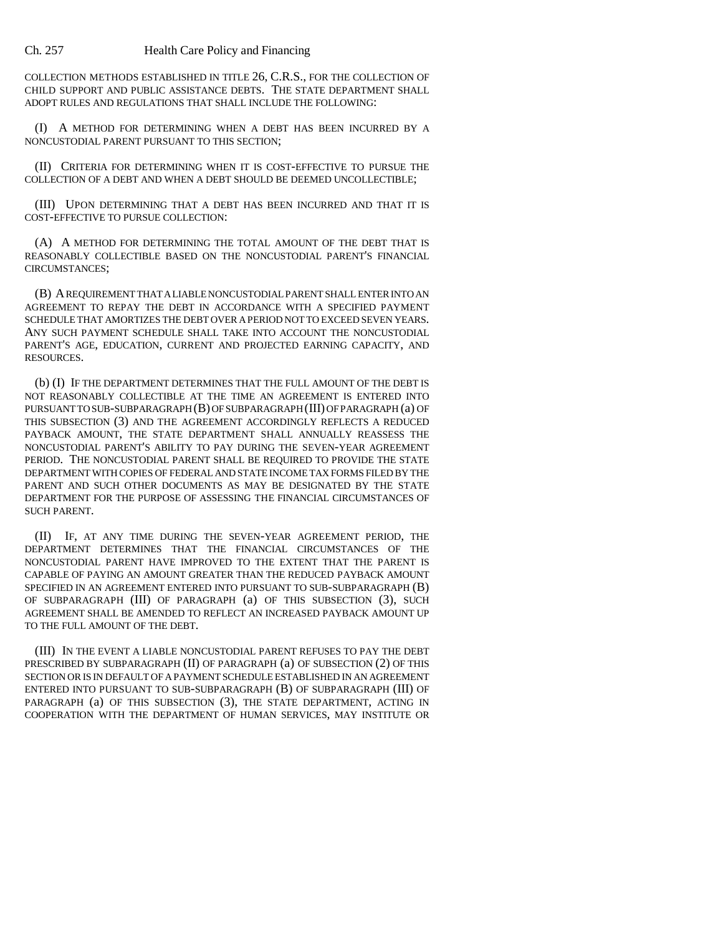COLLECTION METHODS ESTABLISHED IN TITLE 26, C.R.S., FOR THE COLLECTION OF CHILD SUPPORT AND PUBLIC ASSISTANCE DEBTS. THE STATE DEPARTMENT SHALL ADOPT RULES AND REGULATIONS THAT SHALL INCLUDE THE FOLLOWING:

(I) A METHOD FOR DETERMINING WHEN A DEBT HAS BEEN INCURRED BY A NONCUSTODIAL PARENT PURSUANT TO THIS SECTION;

(II) CRITERIA FOR DETERMINING WHEN IT IS COST-EFFECTIVE TO PURSUE THE COLLECTION OF A DEBT AND WHEN A DEBT SHOULD BE DEEMED UNCOLLECTIBLE;

(III) UPON DETERMINING THAT A DEBT HAS BEEN INCURRED AND THAT IT IS COST-EFFECTIVE TO PURSUE COLLECTION:

(A) A METHOD FOR DETERMINING THE TOTAL AMOUNT OF THE DEBT THAT IS REASONABLY COLLECTIBLE BASED ON THE NONCUSTODIAL PARENT'S FINANCIAL CIRCUMSTANCES;

(B) A REQUIREMENT THAT A LIABLE NONCUSTODIAL PARENT SHALL ENTER INTO AN AGREEMENT TO REPAY THE DEBT IN ACCORDANCE WITH A SPECIFIED PAYMENT SCHEDULE THAT AMORTIZES THE DEBT OVER A PERIOD NOT TO EXCEED SEVEN YEARS. ANY SUCH PAYMENT SCHEDULE SHALL TAKE INTO ACCOUNT THE NONCUSTODIAL PARENT'S AGE, EDUCATION, CURRENT AND PROJECTED EARNING CAPACITY, AND RESOURCES.

(b) (I) IF THE DEPARTMENT DETERMINES THAT THE FULL AMOUNT OF THE DEBT IS NOT REASONABLY COLLECTIBLE AT THE TIME AN AGREEMENT IS ENTERED INTO PURSUANT TO SUB-SUBPARAGRAPH (B) OF SUBPARAGRAPH (III) OF PARAGRAPH (a) OF THIS SUBSECTION (3) AND THE AGREEMENT ACCORDINGLY REFLECTS A REDUCED PAYBACK AMOUNT, THE STATE DEPARTMENT SHALL ANNUALLY REASSESS THE NONCUSTODIAL PARENT'S ABILITY TO PAY DURING THE SEVEN-YEAR AGREEMENT PERIOD. THE NONCUSTODIAL PARENT SHALL BE REQUIRED TO PROVIDE THE STATE DEPARTMENT WITH COPIES OF FEDERAL AND STATE INCOME TAX FORMS FILED BY THE PARENT AND SUCH OTHER DOCUMENTS AS MAY BE DESIGNATED BY THE STATE DEPARTMENT FOR THE PURPOSE OF ASSESSING THE FINANCIAL CIRCUMSTANCES OF SUCH PARENT.

(II) IF, AT ANY TIME DURING THE SEVEN-YEAR AGREEMENT PERIOD, THE DEPARTMENT DETERMINES THAT THE FINANCIAL CIRCUMSTANCES OF THE NONCUSTODIAL PARENT HAVE IMPROVED TO THE EXTENT THAT THE PARENT IS CAPABLE OF PAYING AN AMOUNT GREATER THAN THE REDUCED PAYBACK AMOUNT SPECIFIED IN AN AGREEMENT ENTERED INTO PURSUANT TO SUB-SUBPARAGRAPH (B) OF SUBPARAGRAPH (III) OF PARAGRAPH (a) OF THIS SUBSECTION (3), SUCH AGREEMENT SHALL BE AMENDED TO REFLECT AN INCREASED PAYBACK AMOUNT UP TO THE FULL AMOUNT OF THE DEBT.

(III) IN THE EVENT A LIABLE NONCUSTODIAL PARENT REFUSES TO PAY THE DEBT PRESCRIBED BY SUBPARAGRAPH (II) OF PARAGRAPH (a) OF SUBSECTION (2) OF THIS SECTION OR IS IN DEFAULT OF A PAYMENT SCHEDULE ESTABLISHED IN AN AGREEMENT ENTERED INTO PURSUANT TO SUB-SUBPARAGRAPH (B) OF SUBPARAGRAPH (III) OF PARAGRAPH (a) OF THIS SUBSECTION (3), THE STATE DEPARTMENT, ACTING IN COOPERATION WITH THE DEPARTMENT OF HUMAN SERVICES, MAY INSTITUTE OR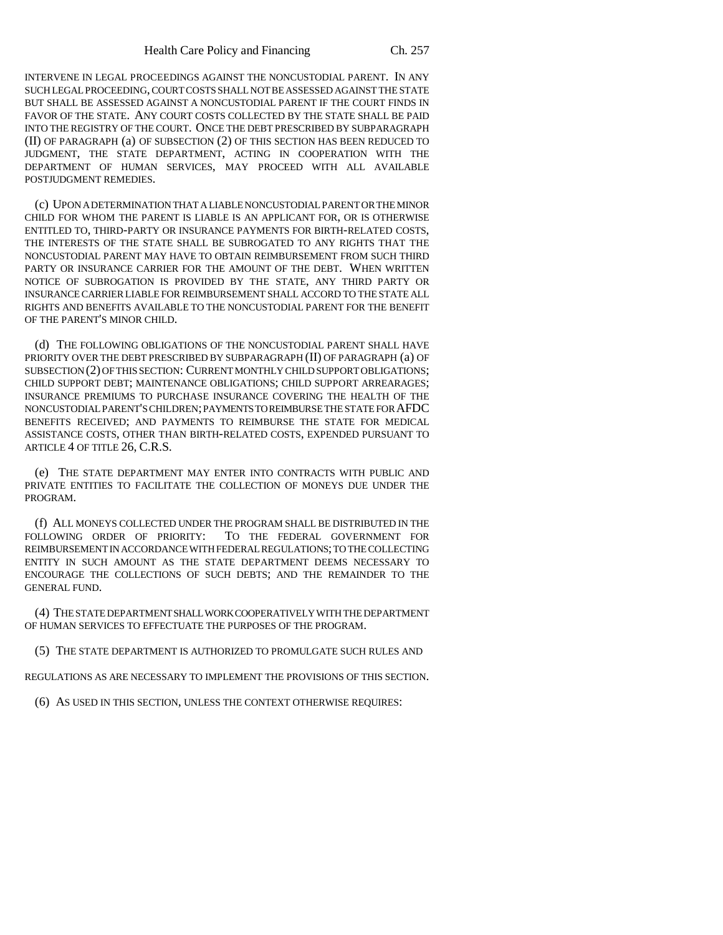INTERVENE IN LEGAL PROCEEDINGS AGAINST THE NONCUSTODIAL PARENT. IN ANY SUCH LEGAL PROCEEDING, COURT COSTS SHALL NOT BE ASSESSED AGAINST THE STATE BUT SHALL BE ASSESSED AGAINST A NONCUSTODIAL PARENT IF THE COURT FINDS IN FAVOR OF THE STATE. ANY COURT COSTS COLLECTED BY THE STATE SHALL BE PAID INTO THE REGISTRY OF THE COURT. ONCE THE DEBT PRESCRIBED BY SUBPARAGRAPH (II) OF PARAGRAPH (a) OF SUBSECTION (2) OF THIS SECTION HAS BEEN REDUCED TO JUDGMENT, THE STATE DEPARTMENT, ACTING IN COOPERATION WITH THE DEPARTMENT OF HUMAN SERVICES, MAY PROCEED WITH ALL AVAILABLE POSTJUDGMENT REMEDIES.

(c) UPON A DETERMINATION THAT A LIABLE NONCUSTODIAL PARENT OR THE MINOR CHILD FOR WHOM THE PARENT IS LIABLE IS AN APPLICANT FOR, OR IS OTHERWISE ENTITLED TO, THIRD-PARTY OR INSURANCE PAYMENTS FOR BIRTH-RELATED COSTS, THE INTERESTS OF THE STATE SHALL BE SUBROGATED TO ANY RIGHTS THAT THE NONCUSTODIAL PARENT MAY HAVE TO OBTAIN REIMBURSEMENT FROM SUCH THIRD PARTY OR INSURANCE CARRIER FOR THE AMOUNT OF THE DEBT. WHEN WRITTEN NOTICE OF SUBROGATION IS PROVIDED BY THE STATE, ANY THIRD PARTY OR INSURANCE CARRIER LIABLE FOR REIMBURSEMENT SHALL ACCORD TO THE STATE ALL RIGHTS AND BENEFITS AVAILABLE TO THE NONCUSTODIAL PARENT FOR THE BENEFIT OF THE PARENT'S MINOR CHILD.

(d) THE FOLLOWING OBLIGATIONS OF THE NONCUSTODIAL PARENT SHALL HAVE PRIORITY OVER THE DEBT PRESCRIBED BY SUBPARAGRAPH (II) OF PARAGRAPH (a) OF SUBSECTION (2) OF THIS SECTION: CURRENT MONTHLY CHILD SUPPORT OBLIGATIONS; CHILD SUPPORT DEBT; MAINTENANCE OBLIGATIONS; CHILD SUPPORT ARREARAGES; INSURANCE PREMIUMS TO PURCHASE INSURANCE COVERING THE HEALTH OF THE NONCUSTODIAL PARENT'S CHILDREN; PAYMENTS TO REIMBURSE THE STATE FOR AFDC BENEFITS RECEIVED; AND PAYMENTS TO REIMBURSE THE STATE FOR MEDICAL ASSISTANCE COSTS, OTHER THAN BIRTH-RELATED COSTS, EXPENDED PURSUANT TO ARTICLE 4 OF TITLE 26, C.R.S.

(e) THE STATE DEPARTMENT MAY ENTER INTO CONTRACTS WITH PUBLIC AND PRIVATE ENTITIES TO FACILITATE THE COLLECTION OF MONEYS DUE UNDER THE PROGRAM.

(f) ALL MONEYS COLLECTED UNDER THE PROGRAM SHALL BE DISTRIBUTED IN THE FOLLOWING ORDER OF PRIORITY: TO THE FEDERAL GOVERNMENT FOR REIMBURSEMENT IN ACCORDANCE WITH FEDERAL REGULATIONS; TO THE COLLECTING ENTITY IN SUCH AMOUNT AS THE STATE DEPARTMENT DEEMS NECESSARY TO ENCOURAGE THE COLLECTIONS OF SUCH DEBTS; AND THE REMAINDER TO THE GENERAL FUND.

(4) THE STATE DEPARTMENT SHALL WORK COOPERATIVELY WITH THE DEPARTMENT OF HUMAN SERVICES TO EFFECTUATE THE PURPOSES OF THE PROGRAM.

(5) THE STATE DEPARTMENT IS AUTHORIZED TO PROMULGATE SUCH RULES AND

REGULATIONS AS ARE NECESSARY TO IMPLEMENT THE PROVISIONS OF THIS SECTION.

(6) AS USED IN THIS SECTION, UNLESS THE CONTEXT OTHERWISE REQUIRES: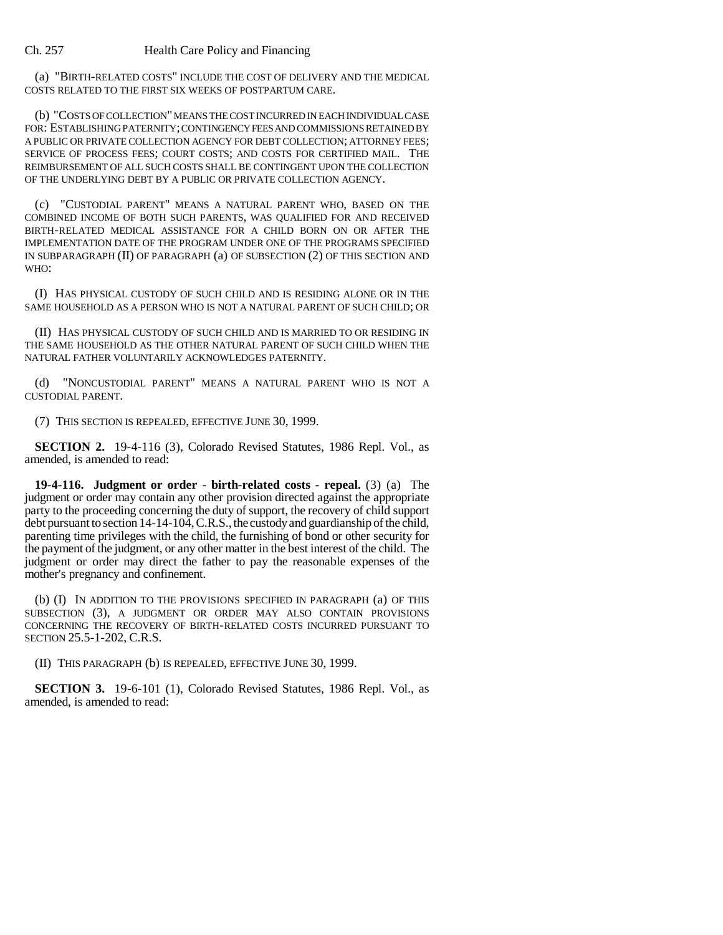(a) "BIRTH-RELATED COSTS" INCLUDE THE COST OF DELIVERY AND THE MEDICAL COSTS RELATED TO THE FIRST SIX WEEKS OF POSTPARTUM CARE.

(b) "COSTS OF COLLECTION" MEANS THE COST INCURRED IN EACH INDIVIDUAL CASE FOR: ESTABLISHING PATERNITY; CONTINGENCY FEES AND COMMISSIONS RETAINED BY A PUBLIC OR PRIVATE COLLECTION AGENCY FOR DEBT COLLECTION; ATTORNEY FEES; SERVICE OF PROCESS FEES; COURT COSTS; AND COSTS FOR CERTIFIED MAIL. THE REIMBURSEMENT OF ALL SUCH COSTS SHALL BE CONTINGENT UPON THE COLLECTION OF THE UNDERLYING DEBT BY A PUBLIC OR PRIVATE COLLECTION AGENCY.

(c) "CUSTODIAL PARENT" MEANS A NATURAL PARENT WHO, BASED ON THE COMBINED INCOME OF BOTH SUCH PARENTS, WAS QUALIFIED FOR AND RECEIVED BIRTH-RELATED MEDICAL ASSISTANCE FOR A CHILD BORN ON OR AFTER THE IMPLEMENTATION DATE OF THE PROGRAM UNDER ONE OF THE PROGRAMS SPECIFIED IN SUBPARAGRAPH (II) OF PARAGRAPH (a) OF SUBSECTION (2) OF THIS SECTION AND WHO:

(I) HAS PHYSICAL CUSTODY OF SUCH CHILD AND IS RESIDING ALONE OR IN THE SAME HOUSEHOLD AS A PERSON WHO IS NOT A NATURAL PARENT OF SUCH CHILD; OR

(II) HAS PHYSICAL CUSTODY OF SUCH CHILD AND IS MARRIED TO OR RESIDING IN THE SAME HOUSEHOLD AS THE OTHER NATURAL PARENT OF SUCH CHILD WHEN THE NATURAL FATHER VOLUNTARILY ACKNOWLEDGES PATERNITY.

(d) "NONCUSTODIAL PARENT" MEANS A NATURAL PARENT WHO IS NOT A CUSTODIAL PARENT.

(7) THIS SECTION IS REPEALED, EFFECTIVE JUNE 30, 1999.

**SECTION 2.** 19-4-116 (3), Colorado Revised Statutes, 1986 Repl. Vol., as amended, is amended to read:

**19-4-116. Judgment or order - birth-related costs - repeal.** (3) (a) The judgment or order may contain any other provision directed against the appropriate party to the proceeding concerning the duty of support, the recovery of child support debt pursuant to section 14-14-104, C.R.S., the custody and guardianship of the child, parenting time privileges with the child, the furnishing of bond or other security for the payment of the judgment, or any other matter in the best interest of the child. The judgment or order may direct the father to pay the reasonable expenses of the mother's pregnancy and confinement.

(b) (I) IN ADDITION TO THE PROVISIONS SPECIFIED IN PARAGRAPH (a) OF THIS SUBSECTION (3), A JUDGMENT OR ORDER MAY ALSO CONTAIN PROVISIONS CONCERNING THE RECOVERY OF BIRTH-RELATED COSTS INCURRED PURSUANT TO SECTION 25.5-1-202, C.R.S.

(II) THIS PARAGRAPH (b) IS REPEALED, EFFECTIVE JUNE 30, 1999.

**SECTION 3.** 19-6-101 (1), Colorado Revised Statutes, 1986 Repl. Vol., as amended, is amended to read: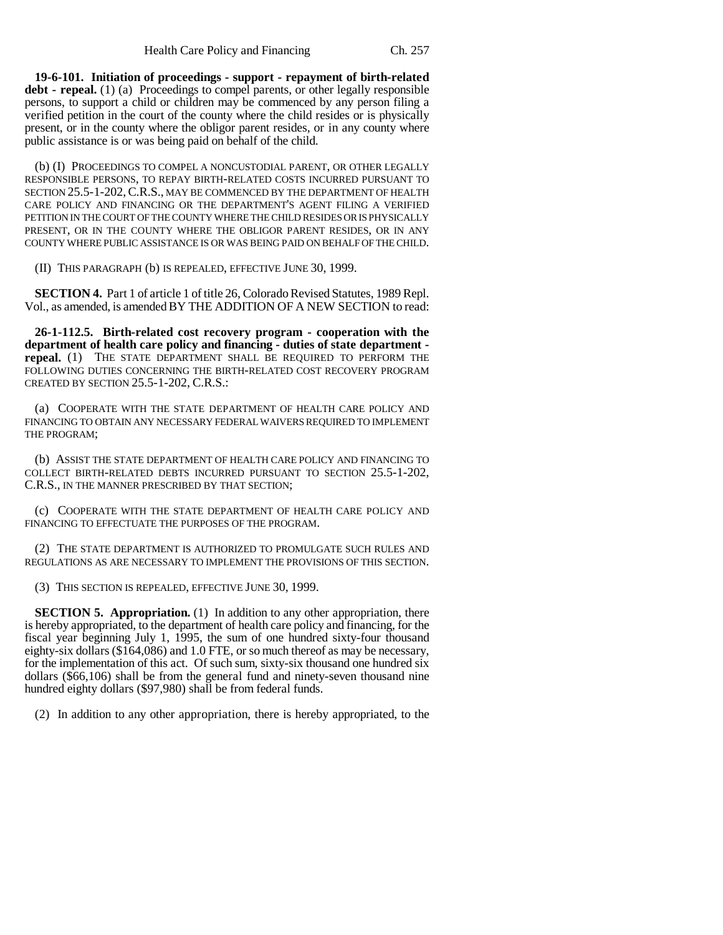**19-6-101. Initiation of proceedings - support - repayment of birth-related debt - repeal.** (1) (a) Proceedings to compel parents, or other legally responsible persons, to support a child or children may be commenced by any person filing a verified petition in the court of the county where the child resides or is physically present, or in the county where the obligor parent resides, or in any county where public assistance is or was being paid on behalf of the child.

(b) (I) PROCEEDINGS TO COMPEL A NONCUSTODIAL PARENT, OR OTHER LEGALLY RESPONSIBLE PERSONS, TO REPAY BIRTH-RELATED COSTS INCURRED PURSUANT TO SECTION 25.5-1-202, C.R.S., MAY BE COMMENCED BY THE DEPARTMENT OF HEALTH CARE POLICY AND FINANCING OR THE DEPARTMENT'S AGENT FILING A VERIFIED PETITION IN THE COURT OF THE COUNTY WHERE THE CHILD RESIDES OR IS PHYSICALLY PRESENT, OR IN THE COUNTY WHERE THE OBLIGOR PARENT RESIDES, OR IN ANY COUNTY WHERE PUBLIC ASSISTANCE IS OR WAS BEING PAID ON BEHALF OF THE CHILD.

(II) THIS PARAGRAPH (b) IS REPEALED, EFFECTIVE JUNE 30, 1999.

**SECTION 4.** Part 1 of article 1 of title 26, Colorado Revised Statutes, 1989 Repl. Vol., as amended, is amended BY THE ADDITION OF A NEW SECTION to read:

**26-1-112.5. Birth-related cost recovery program - cooperation with the department of health care policy and financing - duties of state department repeal.** (1) THE STATE DEPARTMENT SHALL BE REQUIRED TO PERFORM THE FOLLOWING DUTIES CONCERNING THE BIRTH-RELATED COST RECOVERY PROGRAM CREATED BY SECTION 25.5-1-202, C.R.S.:

(a) COOPERATE WITH THE STATE DEPARTMENT OF HEALTH CARE POLICY AND FINANCING TO OBTAIN ANY NECESSARY FEDERAL WAIVERS REQUIRED TO IMPLEMENT THE PROGRAM;

(b) ASSIST THE STATE DEPARTMENT OF HEALTH CARE POLICY AND FINANCING TO COLLECT BIRTH-RELATED DEBTS INCURRED PURSUANT TO SECTION 25.5-1-202, C.R.S., IN THE MANNER PRESCRIBED BY THAT SECTION;

(c) COOPERATE WITH THE STATE DEPARTMENT OF HEALTH CARE POLICY AND FINANCING TO EFFECTUATE THE PURPOSES OF THE PROGRAM.

(2) THE STATE DEPARTMENT IS AUTHORIZED TO PROMULGATE SUCH RULES AND REGULATIONS AS ARE NECESSARY TO IMPLEMENT THE PROVISIONS OF THIS SECTION.

(3) THIS SECTION IS REPEALED, EFFECTIVE JUNE 30, 1999.

**SECTION 5. Appropriation.** (1) In addition to any other appropriation, there is hereby appropriated, to the department of health care policy and financing, for the fiscal year beginning July 1, 1995, the sum of one hundred sixty-four thousand eighty-six dollars (\$164,086) and 1.0 FTE, or so much thereof as may be necessary, for the implementation of this act. Of such sum, sixty-six thousand one hundred six dollars (\$66,106) shall be from the general fund and ninety-seven thousand nine hundred eighty dollars (\$97,980) shall be from federal funds.

(2) In addition to any other appropriation, there is hereby appropriated, to the